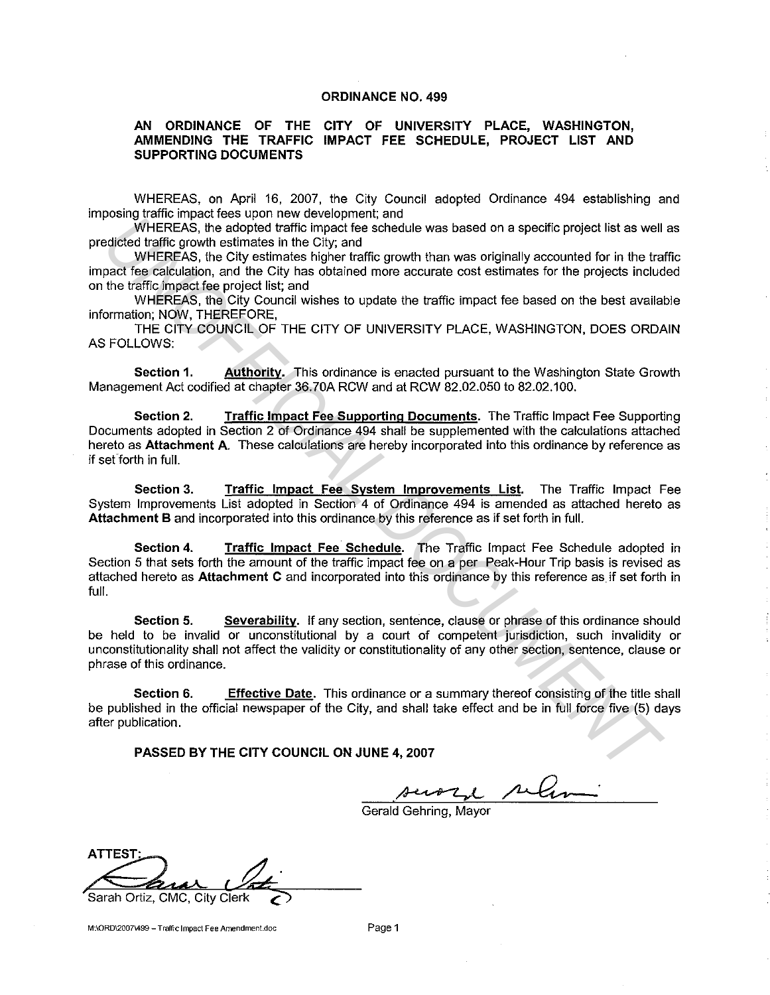### **ORDINANCE NO. 499**

### **AN ORDINANCE OF THE CITY OF UNIVERSITY PLACE, WASHINGTON, AMMENDING THE TRAFFIC IMPACT FEE SCHEDULE, PROJECT LIST AND SUPPORTING DOCUMENTS**

WHEREAS, on April 16, 2007, the City Council adopted Ordinance 494 establishing and imposing traffic impact fees upon new development; and

WHEREAS, the adopted traffic impact fee schedule was based on a specific project list as well as predicted traffic growth estimates in the City; and

WHEREAS, the City estimates higher traffic growth than was originally accounted for in the traffic impact fee calculation, and the City has obtained more accurate cost estimates for the projects included on the traffic impact fee project list; and

WHEREAS, the City Council wishes to update the traffic impact fee based on the best available information; NOW, THEREFORE,

THE CITY COUNCIL OF THE CITY OF UNIVERSITY PLACE, WASHINGTON, DOES ORDAIN AS FOLLOWS:

**Section 1.** Authority. This ordinance is enacted pursuant to the Washington State Growth Management Act codified at chapter 36.70A RCW and at RCW 82.02.050 to 82.02.100.

**Section 2. Traffic Impact Fee Supporting Documents.** The Traffic Impact Fee Supporting Documents adopted in Section 2 of Ordinance 494 shall be supplemented with the calculations attached hereto as **Attachment A.** These calculations are hereby incorporated into this ordinance by reference as if set forth in full.

**Section 3. Traffic Impact Fee System Improvements List.** The Traffic Impact Fee System Improvements List adopted in Section 4 of Ordinance 494 is amended as attached hereto as **Attachment B** and incorporated into this ordinance by this reference as if set forth in full.

**Section 4. Traffic Impact Fee Schedule.** The Traffic Impact Fee Schedule adopted in Section 5 that sets forth the amount of the traffic impact fee on a per Peak-Hour Trip basis is revised as attached hereto as **Attachment C** and incorporated into this ordinance by this reference as if set forth in full. **Example that the example that the state of the state of the state of the example in the control in the control of the control of the control of the control of the control of the control of the control of the control of th** 

**Section 5. Severability.** If any section, sentence, clause or phrase of this ordinance should be held to be invalid or unconstitutional by a court of competent jurisdiction, such invalidity or unconstitutionality shall not affect the validity or constitutionality of any other section, sentence, clause or phrase of this ordinance.

**Section 6. Effective Date.** This ordinance or a summary thereof consisting of the title shall be published in the official newspaper of the City, and shall take effect and be in full force five (5) days after publication.

**PASSED BY THE CITY COUNCIL ON JUNE 4, 2007** 

Gerald Gehring, Mayor

ATTEST:<br>Karar Viti Sarah Ortiz, CMC, City Clerk

**M:\ORD\2007\499- Traffic Impact Fee Amendment.doc** Page 1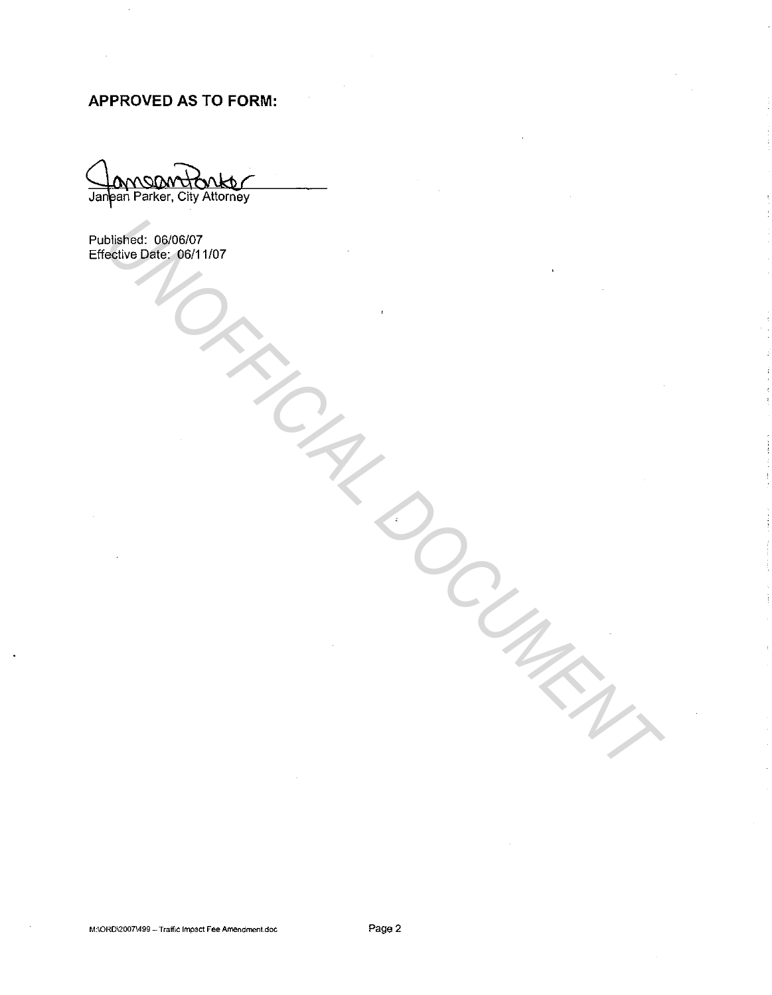# **APPROVED AS TO FORM:**

Janean Parker, City Attorney

Published: 06/06/07 Effective Date: 06/11 /07 **UNIFICIAL OSCOCATION**<br>
DESCRIPTION CONTROL CONTROL OF CONTROL CONTROL OF CONTROL CONTROLLER CONTROLLER CONTROLLER CONTROLLER CONTROLLER CONTROLLER CONTROLLER CONTROLLER CONTROLLER CONTROLLER CONTROLLER CONTROLLER CONTROLL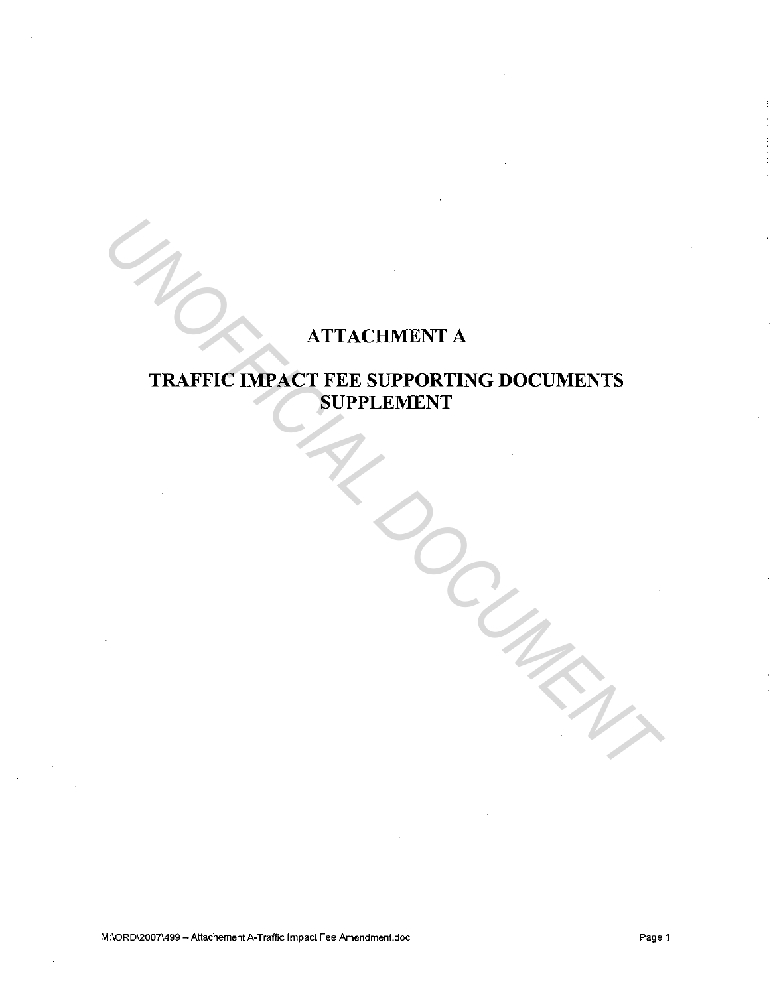# ATTACHMENT A

# TRAFFIC IMPACT FEE SUPPORTING DOCUMENTS SUPPLEMENT ATTACHMENT A<br>
TRAFFIC IMPACT FEE SUPPORTING DOCUMENTS<br>
SUPPLEMENT<br>
A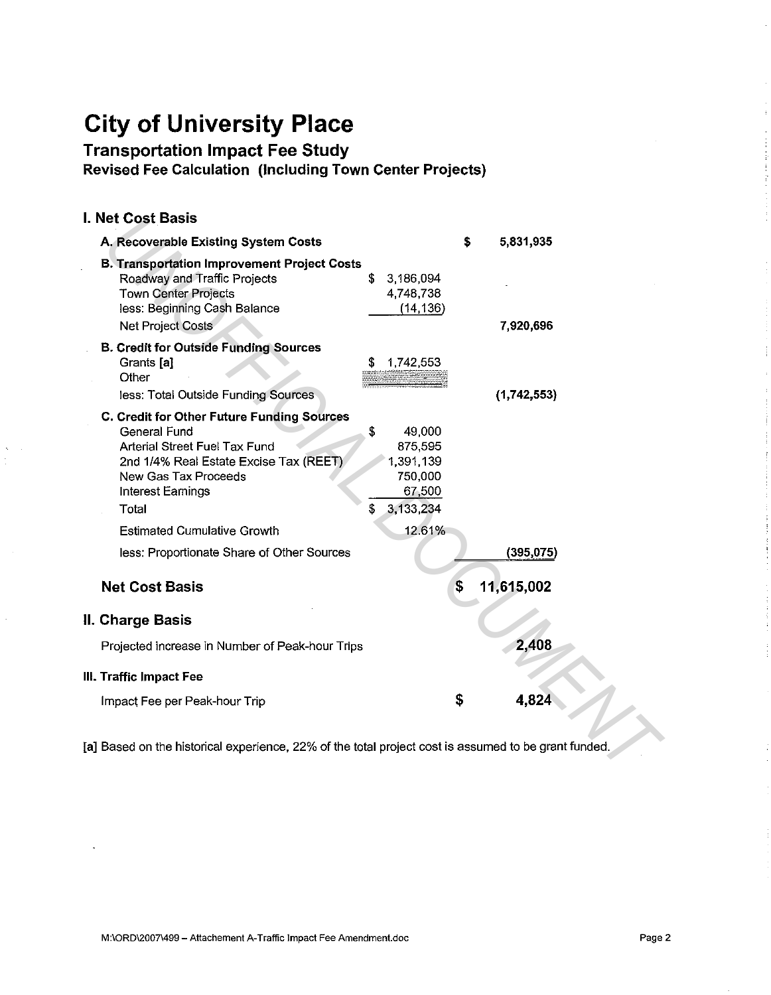# **City of University Place**

Transportation Impact Fee Study

Revised Fee Calculation (Including Town Center Projects)

# I. Net Cost Basis

| l. Net Cost Basis                                                                                                                                                                                         |                                                                              |
|-----------------------------------------------------------------------------------------------------------------------------------------------------------------------------------------------------------|------------------------------------------------------------------------------|
| A. Recoverable Existing System Costs                                                                                                                                                                      | \$<br>5,831,935                                                              |
| <b>B. Transportation Improvement Project Costs</b><br>Roadway and Traffic Projects<br><b>Town Center Projects</b><br>less: Beginning Cash Balance<br><b>Net Project Costs</b>                             | \$<br>3,186,094<br>4,748,738<br>(14, 136)<br>7,920,696                       |
| <b>B. Credit for Outside Funding Sources</b><br>Grants [a]<br>Other<br>less: Total Outside Funding Sources                                                                                                | 1,742,553<br>S<br>(1,742,553)                                                |
| C. Credit for Other Future Funding Sources<br><b>General Fund</b><br>Arterial Street Fuel Tax Fund<br>2nd 1/4% Real Estate Excise Tax (REET)<br>New Gas Tax Proceeds<br><b>Interest Earnings</b><br>Total | \$<br>49,000<br>875,595<br>1,391,139<br>750,000<br>67,500<br>\$<br>3,133,234 |
| <b>Estimated Cumulative Growth</b>                                                                                                                                                                        | 12.61%                                                                       |
| less: Proportionate Share of Other Sources                                                                                                                                                                | (395,075)                                                                    |
| <b>Net Cost Basis</b>                                                                                                                                                                                     | \$<br>11,615,002                                                             |
| II. Charge Basis                                                                                                                                                                                          |                                                                              |
| Projected increase in Number of Peak-hour Trips                                                                                                                                                           | 2,408                                                                        |
| III. Traffic Impact Fee                                                                                                                                                                                   |                                                                              |
| Impact Fee per Peak-hour Trip                                                                                                                                                                             | 4,824<br>\$                                                                  |
| [a] Based on the historical experience, 22% of the total project cost is assumed to be grant funded.                                                                                                      |                                                                              |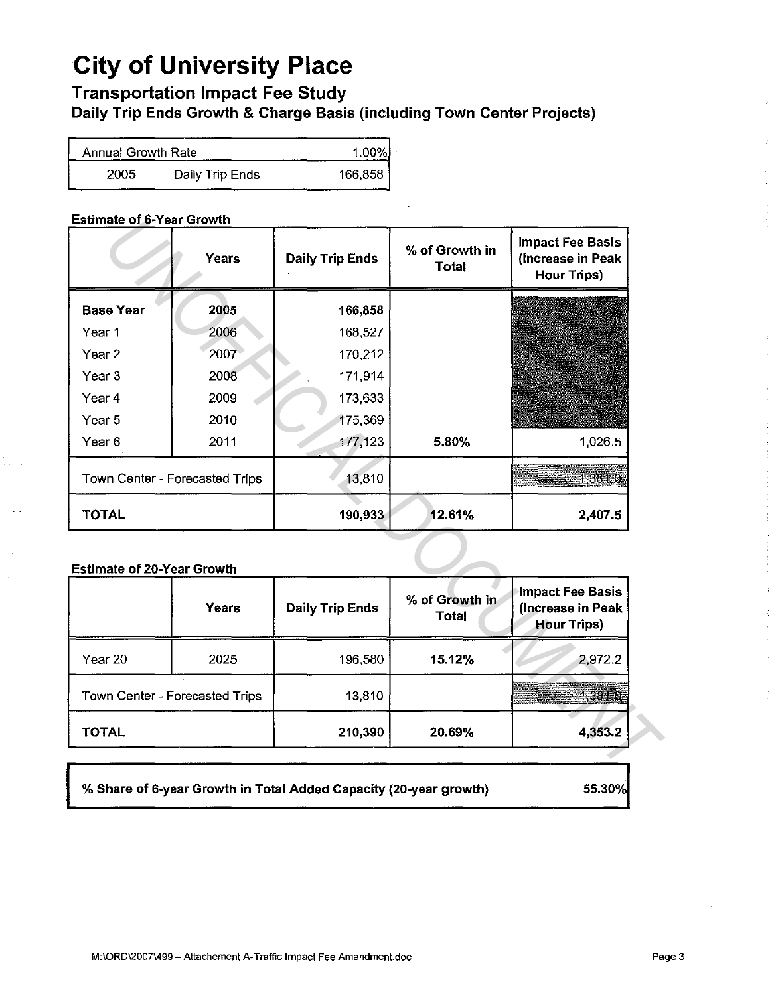# **City of University Place**

# Transportation Impact Fee Study

Daily Trip Ends Growth & Charge Basis (including Town Center Projects)

| Annual Growth Rate | 1.00%           |         |
|--------------------|-----------------|---------|
| 2005               | Daily Trip Ends | 166,858 |

# Estimate of 6-Year Growth

|                                   | Years                          | <b>Daily Trip Ends</b> | % of Growth in<br><b>Total</b> | <b>Impact Fee Basis</b><br>(Increase in Peak<br><b>Hour Trips)</b> |
|-----------------------------------|--------------------------------|------------------------|--------------------------------|--------------------------------------------------------------------|
| <b>Base Year</b>                  | 2005                           | 166,858                |                                |                                                                    |
| Year 1                            | 2006                           | 168,527                |                                |                                                                    |
| Year <sub>2</sub>                 | 2007                           | 170,212                |                                |                                                                    |
| Year <sub>3</sub>                 | 2008                           | 171,914                |                                |                                                                    |
| Year <sub>4</sub>                 | 2009                           | 173,633                |                                |                                                                    |
| Year <sub>5</sub>                 | 2010                           | 175,369                |                                |                                                                    |
| Year <sub>6</sub>                 | $2011 -$                       | 177,123                | 5.80%                          | 1.026.5                                                            |
|                                   | Town Center - Forecasted Trips | 13,810                 |                                | 1,381.0                                                            |
|                                   |                                |                        |                                |                                                                    |
| <b>TOTAL</b>                      |                                | 190,933                | 12.61%                         | 2,407.5                                                            |
|                                   |                                |                        |                                |                                                                    |
| <b>Estimate of 20-Year Growth</b> | Years                          | <b>Daily Trip Ends</b> | % of Growth in<br><b>Total</b> | <b>Hour Trips)</b>                                                 |
| Year 20                           | 2025                           | 196,580                | 15.12%                         |                                                                    |
|                                   | Town Center - Forecasted Trips | 13,810                 |                                | <b>Impact Fee Basis</b><br>(Increase in Peak<br>2,972.2<br>1,3810  |

# Estimate of 20-Year Growth

|              | Years                          | <b>Daily Trip Ends</b> | % of Growth in<br><b>Total</b> | Impact Fee Basis<br>(Increase in Peak<br><b>Hour Trips)</b> |
|--------------|--------------------------------|------------------------|--------------------------------|-------------------------------------------------------------|
| Year 20      | 2025                           | 196,580                | 15.12%                         | 2,972.2                                                     |
|              | Town Center - Forecasted Trips | 13,810                 |                                | as en 1                                                     |
| <b>TOTAL</b> |                                | 210,390                | 20.69%                         | 4,353.2                                                     |

% Share of 6-year Growth in Total Added Capacity (20-year growth) 55.30%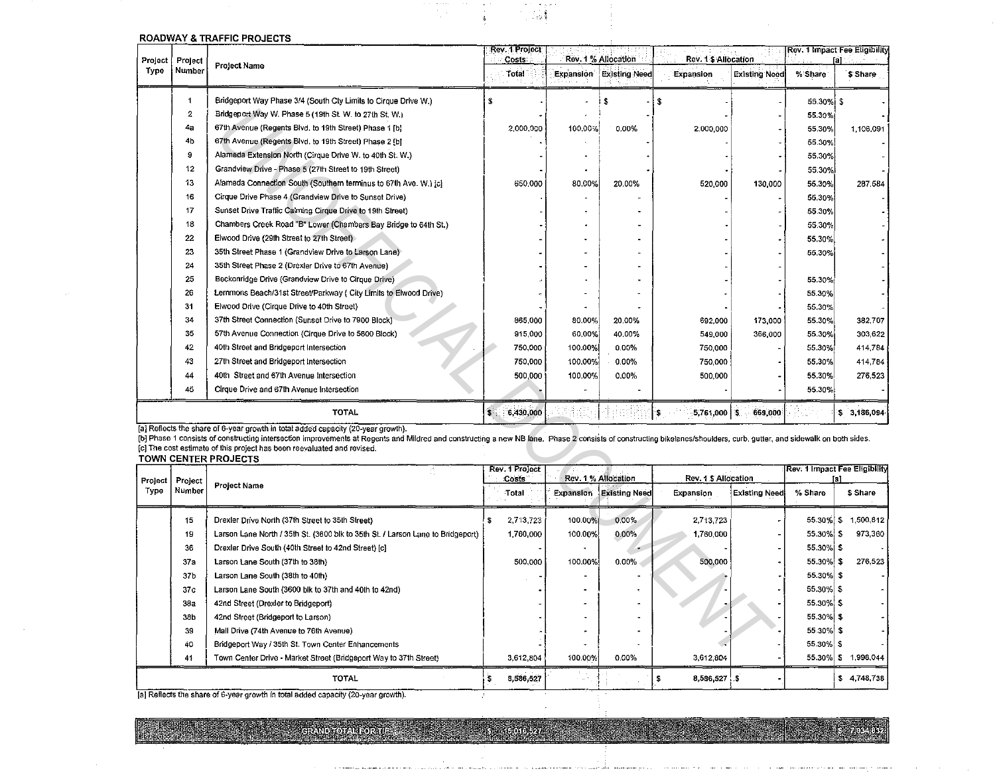| Project | Project                 |                                                                                                                                                                                                                                                                                                                                                                                                                            | Rev. 1 Project<br>Costs |         | <b>Rev. 1 Impact Fee Eligibility</b><br>Rev. 1% Allocation<br>Rev. 1 \$ Allocation<br>fal |                        |                      |              |                               |
|---------|-------------------------|----------------------------------------------------------------------------------------------------------------------------------------------------------------------------------------------------------------------------------------------------------------------------------------------------------------------------------------------------------------------------------------------------------------------------|-------------------------|---------|-------------------------------------------------------------------------------------------|------------------------|----------------------|--------------|-------------------------------|
| Type    | Number                  | <b>Project Name</b>                                                                                                                                                                                                                                                                                                                                                                                                        | Total                   |         | <b>Expansion Existing Need</b>                                                            | Expansion              | <b>Existing Need</b> | % Share      | \$ Share                      |
|         | 1                       | Bridgeport Way Phase 3/4 (South Cty Limits to Cirque Drive W.)                                                                                                                                                                                                                                                                                                                                                             | S                       |         | \$                                                                                        | \$                     |                      | 55.30%i      | S                             |
|         | $\overline{\mathbf{c}}$ | Bridgeport Way W. Phase 5 (19th St. W. to 27th St. W.)                                                                                                                                                                                                                                                                                                                                                                     |                         |         |                                                                                           |                        |                      | 55.30%       |                               |
|         | 4a                      | 67th Avenue (Regents Blvd, to 19th Street) Phase 1 [b]                                                                                                                                                                                                                                                                                                                                                                     | 2,000.000               | 100.00% | 0.00%                                                                                     | 2,000,000              |                      | 55,30%       | 1,106,091                     |
|         | 4 <sub>b</sub>          | 67th Avenue (Regents Bivd, to 19th Street) Phase 2 [b]                                                                                                                                                                                                                                                                                                                                                                     |                         |         |                                                                                           |                        |                      | 55.30%       |                               |
|         | 9                       | Alameda Extension North (Cirque Drive W. to 40th St. W.)                                                                                                                                                                                                                                                                                                                                                                   |                         |         |                                                                                           |                        |                      | 55.30%       |                               |
|         | 12                      | Grandview Drive - Phase 5 (27th Street to 19th Street)                                                                                                                                                                                                                                                                                                                                                                     |                         |         |                                                                                           |                        |                      | 55.30%       |                               |
|         | 13                      | Alameda Connection South (Southern terminus to 67th Ave. W.) [c]                                                                                                                                                                                                                                                                                                                                                           | 650,000                 | 80.00%  | 20.00%                                                                                    | 520,000                | 130 000              | 55.30%       | 287.584                       |
|         | 16                      | Cirque Drive Phase 4 (Grandview Drive to Sunset Drive)                                                                                                                                                                                                                                                                                                                                                                     |                         |         |                                                                                           |                        |                      | 55.30%       |                               |
|         | 17                      | Sunset Drive Traffic Calming Cirque Drive to 19th Street)                                                                                                                                                                                                                                                                                                                                                                  |                         |         |                                                                                           |                        |                      | 55.30%       |                               |
|         | 18                      | Chambers Creek Road "B" Lower (Chambers Bay Bridge to 64th St.)                                                                                                                                                                                                                                                                                                                                                            |                         |         |                                                                                           |                        |                      | 55.30%       |                               |
|         | 22                      | Elwood Drive (29th Street to 27th Street)                                                                                                                                                                                                                                                                                                                                                                                  |                         |         |                                                                                           |                        |                      | 55.30%       |                               |
|         | 23                      | 35th Street Phase 1 (Grandview Drive to Larson Lane)                                                                                                                                                                                                                                                                                                                                                                       |                         |         |                                                                                           |                        |                      | 55.30%       |                               |
|         | 24                      | 35th Street Phase 2 (Drexler Drive to 67th Avenue)                                                                                                                                                                                                                                                                                                                                                                         |                         |         |                                                                                           |                        |                      |              |                               |
|         | 25                      | Beckonridge Drive (Grandview Drive to Cirque Drive)                                                                                                                                                                                                                                                                                                                                                                        |                         |         |                                                                                           |                        |                      | 55.30%       |                               |
|         | 26                      | Lemmons Beach/31st Street/Parkway ( City Limits to Elwood Drive)                                                                                                                                                                                                                                                                                                                                                           |                         |         |                                                                                           |                        |                      | 55.30%       |                               |
|         | 31                      | Elwood Drive (Cirque Drive to 40th Street)                                                                                                                                                                                                                                                                                                                                                                                 |                         |         |                                                                                           |                        |                      | 55.30%       |                               |
|         | 34                      | 37th Street Connection (Sunset Drive to 7900 Block)                                                                                                                                                                                                                                                                                                                                                                        | 865,000                 | 80.00%  | 20.00%                                                                                    | 692,000                | 173,000              | 55.30%       | 382 707                       |
|         | 35                      | 57th Avenue Connection (Cirque Drive to 5800 Block)                                                                                                                                                                                                                                                                                                                                                                        | 915,000                 | 60,00%  | 40.00%                                                                                    | 549,000                | 366 000              | 55.30%       | 303,622                       |
|         | 42                      | 40th Street and Bridgeport Intersection                                                                                                                                                                                                                                                                                                                                                                                    | 750,000                 | 100.00% | $0.00\%$                                                                                  | 750,000                |                      | 55.30%       | 414,784                       |
|         | 43                      | 27th Street and Bridgeport Intersection                                                                                                                                                                                                                                                                                                                                                                                    | 750,000                 | 100.00% | $0.00\%$                                                                                  | 750,000                |                      | 55.30%       | 414,784                       |
|         | 44                      | 40th Street and 67th Avenue Intersection                                                                                                                                                                                                                                                                                                                                                                                   | 500.000                 | 100.00% | $0.00\%$                                                                                  | 500,000                |                      | 55.30%       | 276 523                       |
|         | 45                      | Cirque Drive and 67th Avenue Intersection                                                                                                                                                                                                                                                                                                                                                                                  |                         |         |                                                                                           |                        |                      | 55.30%       |                               |
|         |                         | <b>TOTAL</b>                                                                                                                                                                                                                                                                                                                                                                                                               | 6,430,000<br>s          |         |                                                                                           | ۱\$.<br>5,761,000   \$ | 669,000              |              | \$3,186,094                   |
|         |                         | [a] Reflects the share of 6-year growth in total added capacity (20-year growth).<br>[b] Phase 1 consists of constructing intersection improvements at Regents and Mildred and constructing a new NB lane. Phase 2 consists of constructing bikelanes/shoulders, curb, gutter, and sidewalk on both sides.<br>[c] The cost estimate of this project has been reevaluated and revised.<br><b>TOWN CENTER PROJECTS</b><br>G. | Rev. 1 Project          |         |                                                                                           |                        |                      |              | Rev. 1 Impact Fee Eligibility |
| Project | Project                 | <b>Project Name</b>                                                                                                                                                                                                                                                                                                                                                                                                        | Costs                   |         | Rev. 1% Allocation                                                                        | Rev. 1 \$ Allocation   |                      |              | fal                           |
| Type    | Number                  |                                                                                                                                                                                                                                                                                                                                                                                                                            | Total                   |         | Expansion Existing Need                                                                   | Expansion              | <b>Existing Need</b> | % Share      | \$ Share                      |
|         | 15                      | Drexler Drive North (37th Street to 35th Street)                                                                                                                                                                                                                                                                                                                                                                           | 2,713,723<br>s          | 100.00% | 0.00%                                                                                     | 2.713,723              |                      | $55.30\%$ \$ | 1,500,812                     |
|         | 19                      | Larson Lane North / 35th St. (3600 blk to 35th St. / Larson Lane to Bridgeport)                                                                                                                                                                                                                                                                                                                                            | 1,760,000               | 100.00% | 0.00%                                                                                     | 1,760,000              |                      | 55.30% \$    | 973,360                       |
|         | 36                      | Drexler Drive South (40th Street to 42nd Street) [c]                                                                                                                                                                                                                                                                                                                                                                       |                         |         |                                                                                           |                        |                      | 55.30% \$    |                               |
|         | 37 <sub>z</sub>         | Larson Lane South (37th to 38th)                                                                                                                                                                                                                                                                                                                                                                                           | 500,000                 | 100.00% | $0.00\%$                                                                                  | 500,000                |                      | 55.30% \$    | 276.523                       |
|         | 37 <sub>b</sub>         | Larson Lane South (38th to 40th)                                                                                                                                                                                                                                                                                                                                                                                           |                         |         |                                                                                           |                        |                      | 55.30% \$    |                               |
|         | 37 <sub>c</sub>         | Larson Lane South (3600 blk to 37th and 40th to 42nd)                                                                                                                                                                                                                                                                                                                                                                      |                         |         |                                                                                           |                        |                      | 55.30% \$    |                               |
|         | 382                     | 42nd Street (Drexler to Bridgeport)                                                                                                                                                                                                                                                                                                                                                                                        |                         |         |                                                                                           |                        |                      | 55.30% \$    |                               |
|         | 38b                     | 42nd Street (Bridgeport to Larson)                                                                                                                                                                                                                                                                                                                                                                                         |                         |         |                                                                                           |                        |                      | 55.30% \$    |                               |
|         | 39                      | Mall Drive (74th Avenue to 76th Avenue)                                                                                                                                                                                                                                                                                                                                                                                    |                         |         |                                                                                           |                        |                      | 55.30% \$    |                               |
|         | 40                      | Bridgeport Way / 35th St. Town Center Enhancements                                                                                                                                                                                                                                                                                                                                                                         |                         |         |                                                                                           |                        |                      | 55.30%       | - \$                          |
|         | 41                      | Town Center Drive - Market Street (Bridgeport Way to 37th Street)                                                                                                                                                                                                                                                                                                                                                          | 3,612,804               | 100.00% | 0.00%                                                                                     | 3,612,804              |                      |              | 55.30% \$1,998,044            |

 $\mathbb{Z}_2$ 

 $\frac{1}{3}$ 

### ROADWAY & TRAFFIC PROJECTS

|      |                   | TOWN CENTER PROJECTS                                                            |                                |           |                    |                                |                     |               |                                      |  |                     |
|------|-------------------|---------------------------------------------------------------------------------|--------------------------------|-----------|--------------------|--------------------------------|---------------------|---------------|--------------------------------------|--|---------------------|
|      | Project   Project |                                                                                 | Rev. 1 Project<br><b>Costs</b> |           | Rev. 1% Allocation |                                | Rev. 1 S Allocation |               | <b>Rev. 1 Impact Fee Eligibility</b> |  |                     |
| Турө | Number            | <b>Project Name</b>                                                             |                                | Total     |                    | <b>Expansion Existing Need</b> | Expansion           | Existing Need | % Share                              |  | \$ Share            |
|      | 15                | Drexler Drive North (37th Street to 35th Street)                                |                                | 2,713,723 | 100.00%            | 0.00%                          | 2,713,723           |               | $55.30\%$ \$                         |  | 1,500.812           |
|      | 19                | Larson Lane North / 35th St. (3600 blk to 35th St. / Larson Lane to Bridgeport) |                                | 1,760,000 | 100.00%            | 0.00%                          | 1,760,000           |               | 55.30% \$                            |  | 973,360             |
|      | 36                | Drexler Drive South (40th Street to 42nd Street) [c]                            |                                |           |                    |                                |                     |               | 55.30% \$                            |  |                     |
|      | 37 <sub>5</sub>   | Larson Lane South (37th to 38th)                                                |                                | 500,000   | 100,00%            | $0,00\%$                       | 500,000             |               | 55.30% \$                            |  | 276.523             |
|      | 37 <sub>b</sub>   | Larson Lane South (38th to 40th)                                                |                                |           |                    |                                |                     |               | 55.30% \$                            |  |                     |
|      | 37 <sub>c</sub>   | Larson Lane South (3600 blk to 37th and 40th to 42nd)                           |                                |           |                    |                                |                     |               | 55.30% \$                            |  |                     |
|      | 382               | 42nd Street (Drexler to Bridgeport)                                             |                                |           |                    |                                |                     |               | 55.30% \$                            |  |                     |
|      | 38b               | 42nd Street (Bridgeport to Larson)                                              |                                |           |                    |                                |                     |               | 55.30% \$                            |  |                     |
|      | 39                | Mall Drive (74th Avenue to 76th Avenue)                                         |                                |           |                    |                                |                     |               | 55.30% \$                            |  |                     |
|      | 40                | Bridgeport Way / 35th St. Town Center Enhancements                              |                                |           |                    |                                |                     |               | 55.30% \$                            |  |                     |
|      | 41                | Town Center Drive - Market Street (Bridgeport Way to 37th Street)               |                                | 3,612,804 | 100.00%            | 0.00%                          | 3,612,804           |               |                                      |  | 55.30% \$ 1,998.044 |
|      |                   | TOTAL                                                                           |                                | 8,586,527 |                    |                                | 8,586,527 \$        |               |                                      |  | \$4,748,738         |

5 15016,527

**S. 7.034.832** 

 $\beta$ 

[a] Reflects the share of 6-year growth in total added capacity (20-year growth).

GRAND TOTAL FOR THE

e stati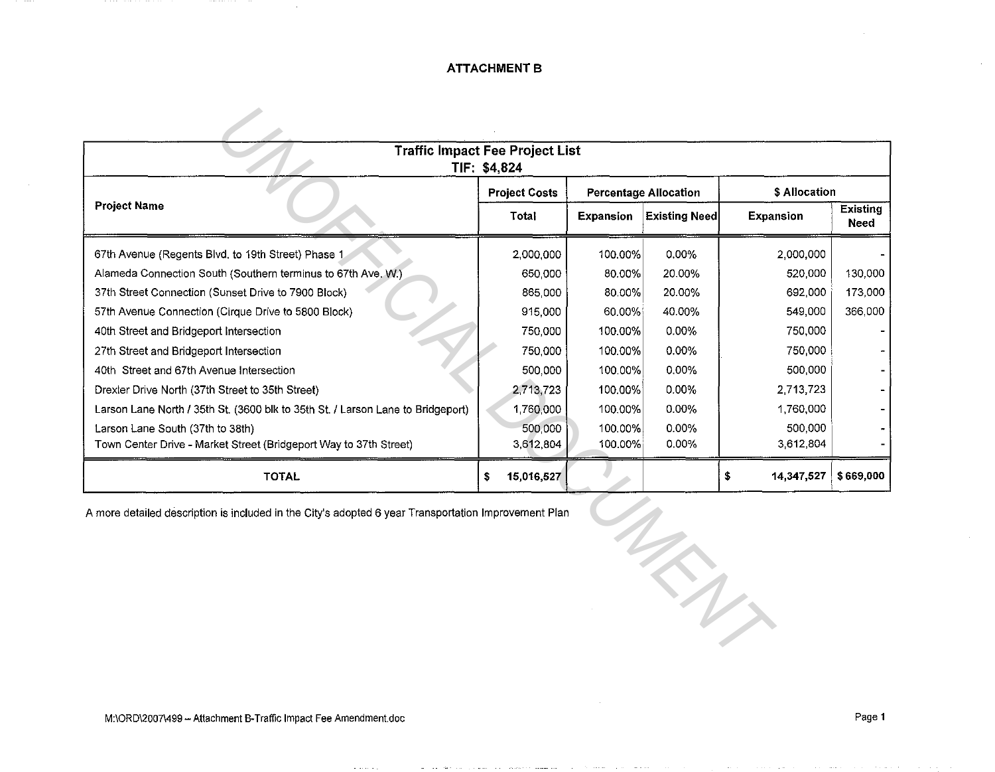## **ATTACHMENT B**

| <b>Traffic Impact Fee Project List</b><br>TIF: \$4,824                                               |                      |                  |                              |                  |                         |  |  |  |  |  |
|------------------------------------------------------------------------------------------------------|----------------------|------------------|------------------------------|------------------|-------------------------|--|--|--|--|--|
|                                                                                                      | <b>Project Costs</b> |                  | <b>Percentage Allocation</b> | \$ Allocation    |                         |  |  |  |  |  |
| <b>Project Name</b>                                                                                  |                      | <b>Expansion</b> | <b>Existing Need</b>         | Expansion        | <b>Existing</b><br>Need |  |  |  |  |  |
| 67th Avenue (Regents Blvd, to 19th Street) Phase 1                                                   | 2,000,000            | 100.00%          | 0.00%                        | 2,000,000        |                         |  |  |  |  |  |
| Alameda Connection South (Southern terminus to 67th Ave. W.)                                         | 650,000              | 80.00%           | 20.00%                       | 520,000          | 130,000                 |  |  |  |  |  |
| 37th Street Connection (Sunset Drive to 7900 Block)                                                  | 865,000              | 80.00%           | 20.00%                       | 692,000          | 173,000                 |  |  |  |  |  |
| 57th Avenue Connection (Cirque Drive to 5800 Block)                                                  | 915,000              | 60.00%           | 40.00%                       | 549,000          | 366,000                 |  |  |  |  |  |
| 40th Street and Bridgeport Intersection                                                              | 750,000              | 100.00%          | 0.00%                        | 750,000          |                         |  |  |  |  |  |
| 27th Street and Bridgeport Intersection                                                              | 750,000              | 100.00%          | 0.00%                        | 750,000          |                         |  |  |  |  |  |
| 40th Street and 67th Avenue Intersection                                                             | 500,000              | 100.00%          | 0.00%                        | 500,000          |                         |  |  |  |  |  |
| Drexler Drive North (37th Street to 35th Street)                                                     | 2,713,723            | 100.00%          | 0.00%                        | 2,713,723        |                         |  |  |  |  |  |
| Larson Lane North / 35th St. (3600 blk to 35th St. / Larson Lane to Bridgeport)                      | 1,760,000            | 100.00%          | 0.00%                        | 1,760,000        |                         |  |  |  |  |  |
| Larson Lane South (37th to 38th)                                                                     | 500,000              | 100.00%          | 0.00%                        | 500,000          |                         |  |  |  |  |  |
| Town Center Drive - Market Street (Bridgeport Way to 37th Street)                                    | 3,612,804            | 100.00%          | 0.00%                        | 3,612,804        |                         |  |  |  |  |  |
| <b>TOTAL</b>                                                                                         | 15,016,527<br>\$     |                  |                              | \$<br>14,347,527 | \$669,000               |  |  |  |  |  |
| A more detailed description is included in the City's adopted 6 year Transportation Improvement Plan |                      |                  |                              |                  |                         |  |  |  |  |  |
|                                                                                                      |                      |                  |                              |                  |                         |  |  |  |  |  |
|                                                                                                      |                      |                  |                              |                  |                         |  |  |  |  |  |
|                                                                                                      |                      |                  |                              |                  |                         |  |  |  |  |  |
|                                                                                                      |                      |                  | $\mathcal{L}$                |                  |                         |  |  |  |  |  |
|                                                                                                      |                      |                  |                              |                  |                         |  |  |  |  |  |
|                                                                                                      |                      |                  |                              |                  |                         |  |  |  |  |  |